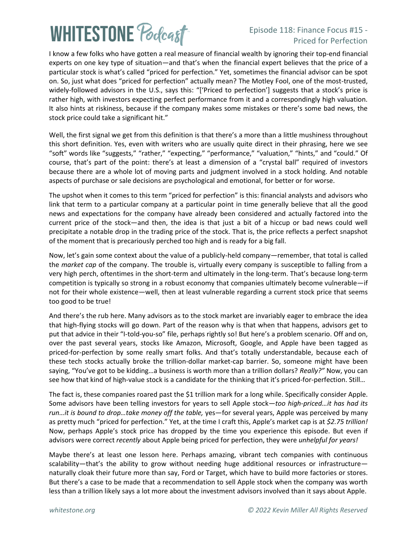# **WHITESTONE Poclast**

#### Episode 118: Finance Focus #15 - Priced for Perfection

I know a few folks who have gotten a real measure of financial wealth by ignoring their top-end financial experts on one key type of situation—and that's when the financial expert believes that the price of a particular stock is what's called "priced for perfection." Yet, sometimes the financial advisor can be spot on. So, just what does "priced for perfection" actually mean? The Motley Fool, one of the most-trusted, widely-followed advisors in the U.S., says this: "['Priced to perfection'] suggests that a stock's price is rather high, with investors expecting perfect performance from it and a correspondingly high valuation. It also hints at riskiness, because if the company makes some mistakes or there's some bad news, the stock price could take a significant hit."

Well, the first signal we get from this definition is that there's a more than a little mushiness throughout this short definition. Yes, even with writers who are usually quite direct in their phrasing, here we see "soft" words like "suggests," "rather," "expecting," "performance," "valuation," "hints," and "could." Of course, that's part of the point: there's at least a dimension of a "crystal ball" required of investors because there are a whole lot of moving parts and judgment involved in a stock holding. And notable aspects of purchase or sale decisions are psychological and emotional, for better or for worse.

The upshot when it comes to this term "priced for perfection" is this: financial analysts and advisors who link that term to a particular company at a particular point in time generally believe that all the good news and expectations for the company have already been considered and actually factored into the current price of the stock—and then, the idea is that just a bit of a hiccup or bad news could well precipitate a notable drop in the trading price of the stock. That is, the price reflects a perfect snapshot of the moment that is precariously perched too high and is ready for a big fall.

Now, let's gain some context about the value of a publicly-held company—remember, that total is called the *market cap* of the company. The trouble is, virtually every company is susceptible to falling from a very high perch, oftentimes in the short-term and ultimately in the long-term. That's because long-term competition is typically so strong in a robust economy that companies ultimately become vulnerable—if not for their whole existence—well, then at least vulnerable regarding a current stock price that seems too good to be true!

And there's the rub here. Many advisors as to the stock market are invariably eager to embrace the idea that high-flying stocks will go down. Part of the reason why is that when that happens, advisors get to put that advice in their "I-told-you-so" file, perhaps rightly so! But here's a problem scenario. Off and on, over the past several years, stocks like Amazon, Microsoft, Google, and Apple have been tagged as priced-for-perfection by some really smart folks. And that's totally understandable, because each of these tech stocks actually broke the trillion-dollar market-cap barrier. So, someone might have been saying, "You've got to be kidding…a business is worth more than a trillion dollars? *Really?"* Now, you can see how that kind of high-value stock is a candidate for the thinking that it's priced-for-perfection. Still…

The fact is, these companies roared past the \$1 trillion mark for a long while. Specifically consider Apple. Some advisors have been telling investors for years to sell Apple stock—*too high-priced…it has had its run…it is bound to drop…take money off the table,* yes—for several years, Apple was perceived by many as pretty much "priced for perfection." Yet, at the time I craft this, Apple's market cap is at *\$2.75 trillion!* Now, perhaps Apple's stock price has dropped by the time you experience this episode. But even if advisors were correct *recently* about Apple being priced for perfection, they were *unhelpful for years!*

Maybe there's at least one lesson here. Perhaps amazing, vibrant tech companies with continuous scalability—that's the ability to grow without needing huge additional resources or infrastructure naturally cloak their future more than say, Ford or Target, which have to build more factories or stores. But there's a case to be made that a recommendation to sell Apple stock when the company was worth less than a trillion likely says a lot more about the investment advisors involved than it says about Apple.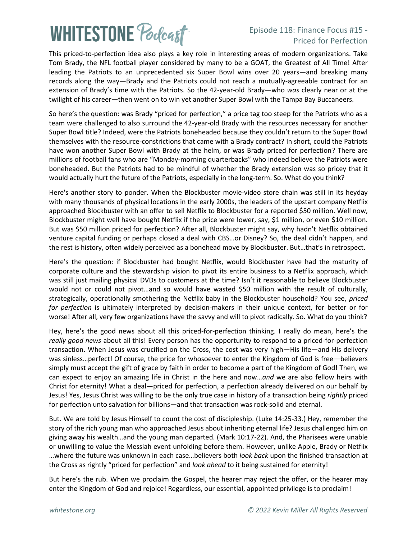# **WHITESTONE Podcast**

#### Episode 118: Finance Focus #15 - Priced for Perfection

This priced-to-perfection idea also plays a key role in interesting areas of modern organizations. Take Tom Brady, the NFL football player considered by many to be a GOAT, the Greatest of All Time! After leading the Patriots to an unprecedented six Super Bowl wins over 20 years—and breaking many records along the way—Brady and the Patriots could not reach a mutually-agreeable contract for an extension of Brady's time with the Patriots. So the 42-year-old Brady—who *was* clearly near or at the twilight of his career—then went on to win yet another Super Bowl with the Tampa Bay Buccaneers.

So here's the question: was Brady "priced for perfection," a price tag too steep for the Patriots who as a team were challenged to also surround the 42-year-old Brady with the resources necessary for another Super Bowl title? Indeed, were the Patriots boneheaded because they couldn't return to the Super Bowl themselves with the resource-constrictions that came with a Brady contract? In short, could the Patriots have won another Super Bowl with Brady at the helm, or was Brady priced for perfection? There are millions of football fans who are "Monday-morning quarterbacks" who indeed believe the Patriots were boneheaded. But the Patriots had to be mindful of whether the Brady extension was so pricey that it would actually hurt the future of the Patriots, especially in the long-term. So. What do you think?

Here's another story to ponder. When the Blockbuster movie-video store chain was still in its heyday with many thousands of physical locations in the early 2000s, the leaders of the upstart company Netflix approached Blockbuster with an offer to sell Netflix to Blockbuster for a reported \$50 million. Well now, Blockbuster might well have bought Netflix if the price were lower, say, \$1 million, or even \$10 million. But was \$50 million priced for perfection? After all, Blockbuster might say, why hadn't Netflix obtained venture capital funding or perhaps closed a deal with CBS…or Disney? So, the deal didn't happen, and the rest is history, often widely perceived as a bonehead move by Blockbuster. But…that's in retrospect.

Here's the question: if Blockbuster had bought Netflix, would Blockbuster have had the maturity of corporate culture and the stewardship vision to pivot its entire business to a Netflix approach, which was still just mailing physical DVDs to customers at the time? Isn't it reasonable to believe Blockbuster would not or could not pivot…and so would have wasted \$50 million with the result of culturally, strategically, operationally smothering the Netflix baby in the Blockbuster household? You see, *priced for perfection* is ultimately interpreted by decision-makers in their unique context, for better or for worse! After all, very few organizations have the savvy and will to pivot radically. So. What do you think?

Hey, here's the good news about all this priced-for-perfection thinking. I really do mean, here's the *really good news* about all this! Every person has the opportunity to respond to a priced-for-perfection transaction. When Jesus was crucified on the Cross, the cost was very high—His life—and His delivery was sinless…perfect! Of course, the price for whosoever to enter the Kingdom of God is free—believers simply must accept the gift of grace by faith in order to become a part of the Kingdom of God! Then, we can expect to enjoy an amazing life in Christ in the here and now…*and* we are also fellow heirs with Christ for eternity! What a deal—priced for perfection, a perfection already delivered on our behalf by Jesus! Yes, Jesus Christ was willing to be the only true case in history of a transaction being *rightly* priced for perfection unto salvation for billions—and that transaction was rock-solid and eternal.

But. We are told by Jesus Himself to count the cost of discipleship. (Luke 14:25-33.) Hey, remember the story of the rich young man who approached Jesus about inheriting eternal life? Jesus challenged him on giving away his wealth…and the young man departed. (Mark 10:17-22). And, the Pharisees were unable or unwilling to value the Messiah event unfolding before them. However, unlike Apple, Brady or Netflix …where the future was unknown in each case…believers both *look back* upon the finished transaction at the Cross as rightly "priced for perfection" and *look ahead* to it being sustained for eternity!

But here's the rub. When we proclaim the Gospel, the hearer may reject the offer, or the hearer may enter the Kingdom of God and rejoice! Regardless, our essential, appointed privilege is to proclaim!